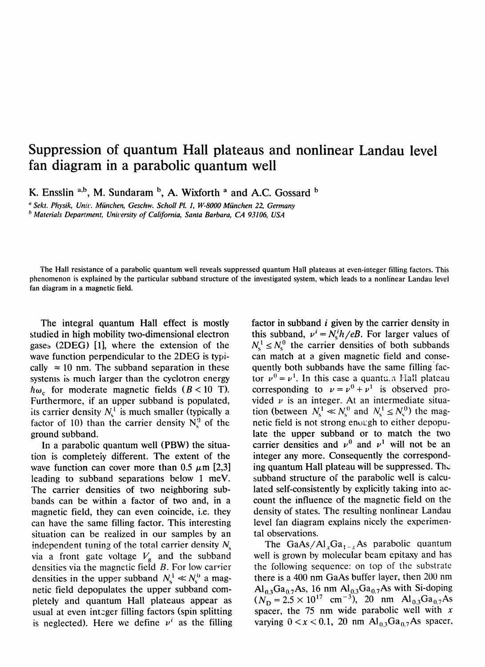## **Suppression of quantum Hall plateaus and nonlinear Landau level fan diagram in a parabolic quantum well**

**K. Ensslin ~,b, M. Sundaram b, A. Wixforth <sup>a</sup> and A.C. Gossard b**

*, Sekt. Physik, Unit. Miinchen, Geschw. Scholl Pl. 1, W-8000 Miinchen 22, Germany*

*t, Materials Department, Unicersity of California, Santa Barbara, CA 93106, USA*

The Hall resistance of a parabolic quantum well reveals suppressed quantum Hall plateaus at even-integer filling factors. This phenomenon is explained by the particular subband structure of the investigated system, which leads to a nonlinear Landau level fan diagram in a magnetic field.

The integral quantum Hall effect is mostly studied in high mobility two-dimensional electron gases  $(2DEG)$  [1], where the extension of the wave function perpendicular to the 2DEG is typically  $\approx 10$  nm. The subband separation in these systems is much larger than the cyclotron energy  $\hbar\omega_c$  for moderate magnetic fields ( $B < 10$  T). Furthermore, if an upper subband is populated, its carrier density  $N_s^1$  is much smaller (typically a factor of 10) than the carrier density  $N_c^0$  of the ground subband.

In a parabolic quantum well (PBW) the situation is completeiy different. The extent of the wave function can cover more than 0.5  $\mu$ m [2,3] leading to subband separations below 1 meV. The carrier densities of two neighboring subbands can be within a factor of two and, in a magnetic field, they can even coincide, i.e. they can have the same filling factor. This interesting situation can be realized in our samples by an independent tuning of the total carrier density  $N<sub>s</sub>$ via a front gate voltage  $V_{\rm g}$  and the subband densities via the magnetic field  $B$ . For low carrier densities in the upper subband  $N_s^1 \ll N_s^0$  a magnetic field depopulates the upper subband completely and quantum Hall plateaus appear as usual at even integer filling factors (spin splitting is neglected). Here we define  $\nu^{i}$  as the filling factor in subband *i* given by the carrier density in this subband,  $v^i = N_h^i / eB$ . For larger values of  $N_s^1 \leq N_s^0$  the carrier densities of both subbands can match at a given magnetic field and consequently both subbands have the same filling factor  $v^0 = v^1$ . In this case a quanture Hall plateau corresponding to  $v = v^0 + v^1$  is observed provided  $\nu$  is an integer. At an intermediate situation (between  $N_s^1 \ll N_s^0$  and  $N_s^1 \le N_s^0$ ) the magnetic field is not strong enough to either depopulate the upper subband or to match the two carrier densities and  $v^0$  and  $v^1$  will not be an integer any more. Consequently the corresponding quantum Hall plateau will be suppressed. The subband structure of the parabolic well is calculated self-consistently by explicitly taking into account the influence of the magnetic field on the density of states. The resulting nonlinear Landau level fan diagram explains nicely the experimental observations.

The GaAs/Al<sub>x</sub>Ga<sub>1-x</sub>As parabolic quantum well is grown by molecular beam epitaxy and has the following sequence: on top of the substrate there is a 400 nm GaAs buffer layer, then 200 nm  $\text{Al}_{0.3}\text{Ga}_{0.7}\text{As}$ , 16 nm  $\text{Al}_{0.3}\text{Ga}_{0.7}\text{As}$  with Si-doping  $(N_D = 2.5 \times 10^{17} \text{ cm}^{-3})$ , 20 nm  $\text{Al}_{0.3}\text{Ga}_{0.7}\text{As}$ spacer, the 75 nm wide parabolic well with  $x$ varying  $0 < x < 0.1$ , 20 nm  $Al_{0.3}Ga_{0.7}As$  spacer,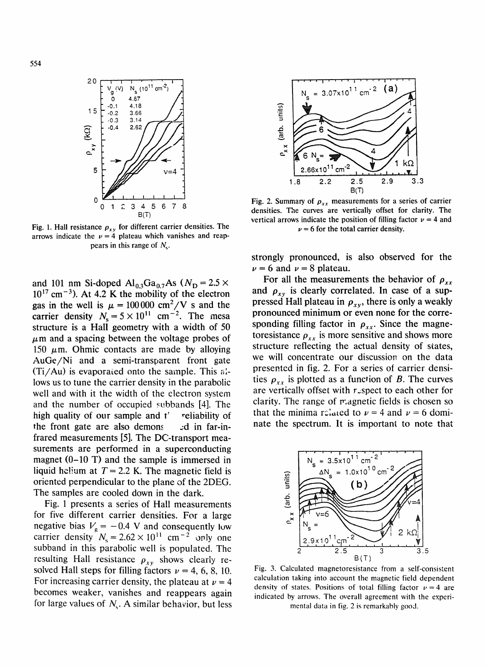

Fig. 1. Hall resistance  $\rho_{xy}$  for different carrier densities. The arrows indicate the  $\nu = 4$  plateau which vanishes and reappears in this range of  $N_{\rm s}$ .

and 101 nm Si-doped  $Al_{0.3}Ga_{0.7}As$  ( $N_D = 2.5 \times$  $10^{17}$  cm<sup>-3</sup>). At 4.2 K the mobility of the electron gas in the well is  $\mu = 100000$  cm<sup>2</sup>/V s and the carrier density  $N_s = 5 \times 10^{11}$  cm<sup>-2</sup>. The mesa structure is a Hall geometry with a width of 50  $\mu$ m and a spacing between the voltage probes of 150  $\mu$ m. Ohmic contacts are made by alloying AuGe /Ni and a semi-transparent front gate  $(Ti/Au)$  is evaporated onto the sample. This  $a'-i$ lows us to tune the carrier density in the parabolic well and with it the width of the electron system and the number of occupied svbbands [4]. The high quality of our sample and  $t'$  reliability of the front gate are also demons zd in far-infrared measurements [5]. The DC-transport measurements are performed in a superconducting magnet (0-10 T) and the sample is immersed in liquid helium at  $T = 2.2$  K. The magnetic field is oriented perpendicular to the plane of the 2DEG. The samples are cooled down in the dark.

Fig. 1 presents a series of Hall measurements for five different carrier densities. For a large negative bias  $V_{\rm g} = -0.4$  V and consequently low carrier density  $N_s = 2.62 \times 10^{11}$  cm<sup>-2</sup> only one subband in this parabolic well is populated. The resulting Hall resistance  $\rho_{xy}$  shows clearly resolved Hall steps for filling factors  $\nu = 4, 6, 8, 10$ . For increasing carrier density, the plateau at  $\nu = 4$ becomes weaker, vanishes and reappears again for large values of  $N_c$ . A similar behavior, but less



Fig. 2. Summary of  $\rho_{xx}$  measurements for a series of carrier densities. The curves are vertically offset for clarity. The vertical arrows indicate the position of filling factor  $\nu = 4$  and  $\nu = 6$  for the total carrier density.

strongly pronounced, is also observed for the  $\nu = 6$  and  $\nu = 8$  plateau.

For all the measurements the behavior of  $\rho_{xx}$ and  $\rho_{xy}$  is clearly correlated. In case of a suppressed Hall plateau in  $\rho_{xy}$ , there is only a weakly pronounced minimum or even none for the corresponding filling factor in  $\rho_{xx}$ . Since the magnetoresistance  $\rho_{xx}$  is more sensitive and shows more structure reflecting the actual density of states, we will concentrate our discussion on the data presented in fig. 2. For a series of carrier densities  $\rho_{xx}$  is plotted as a function of B. The curves are vertically offset with  $r$ -spect to each other for clarity. The range of magnetic fields is chosen so that the minima related to  $\nu = 4$  and  $\nu = 6$  dominate the spectrum. It is important to note that



Fig. 3. Calculated magnetoresistance from a self-consistent calculation taking into account the magnetic field dependent density of states. Positions of total filling factor  $\nu = 4$  are indicated by arrows. The overall agreement with the experimental data in fig. 2 is remarkably good.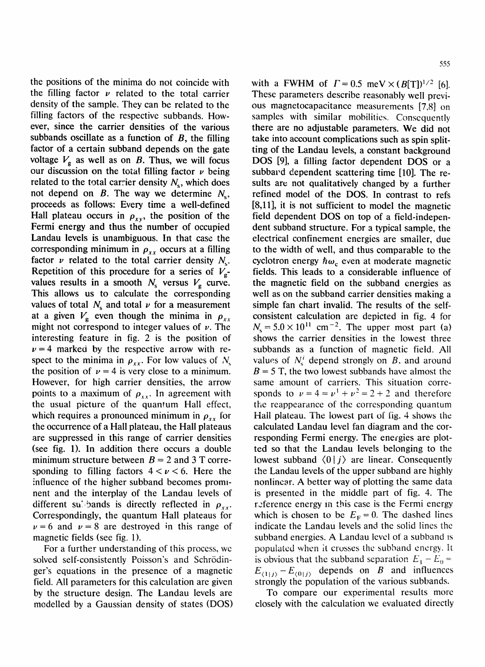555

the positions of the minima do not coincide with the filling factor  $\nu$  related to the total carrier density of the sample. They can be related to the filling factors of the respective subbands. However, since the carrier densities of the various subbands oscillate as a function of  $B$ , the filling factor of a certain subband depends on the gate voltage  $V<sub>g</sub>$  as well as on B. Thus, we will focus our discussion on the total filling factor  $\nu$  being related to the total carrier density  $N<sub>s</sub>$ , which does not depend on B. The way we determine  $N_s$ , proceeds as follows: Every time a well-defined Hall plateau occurs in  $\rho_{xy}$ , the position of the Fermi energy and thus the number of occupied Landau levels is unambiguous. In that case the corresponding minimum in  $\rho_{xx}$  occurs at a filling factor  $\nu$  related to the total carrier density  $N_{\rm c}$ . Repetition of this procedure for a series of  $V_g$ values results in a smooth  $N_s$  versus  $V_g$  curve. This allows us to calculate the corresponding values of total  $N_s$  and total  $\nu$  for a measurement at a given  $V_g$  even though the minima in  $\rho_{xx}$ might not correspond to integer values of  $\nu$ . The interesting feature in fig. 2 is the position of  $\nu = 4$  marked by the respective arrow with respect to the minima in  $\rho_{xx}$ . For low values of  $N_s$ the position of  $\nu = 4$  is very close to a minimum. However, for high carrier densities, the arrow points to a maximum of  $\rho_{xx}$ . In agreement with the usual picture of the quantum Hall effect, which requires a pronounced minimum in  $\rho_{xx}$  for the occurrence of a Hall plateau, the Hall plateaus are suppressed in this range of carrier densities (see fig. 1). In addition there occurs a double minimum structure between  $B = 2$  and 3 T corresponding to filling factors  $4 < \nu < 6$ . Here the influence of the higher subband becomes prominent and the interplay of the Landau levels of different subands is directly reflected in  $\rho_{xx}$ . Correspondingly, the quantum Hall plateaus for  $\nu = 6$  and  $\nu = 8$  are destroyed in this range of magnetic fields (see fig. 1).

For a further understanding of this process, we solved self-consistently Poisson's and Schrödinger's equations in the presence of a magnetic field. All parameters for this calculation are given by the structure design. The Landau levels are modelled by a Gaussian density of states (DOS) with a FWHM of  $\Gamma = 0.5$  meV  $\times (B[T])^{1/2}$  [6]. These parameters describe reasonably well previous magnetocapacitance measurements [7,8] on samples with similar mobilities. Consequently there are no adjustable parameters. We did not take into account complications such as spin splitting of the Landau levels, a constant background DOS [9], a filling factor dependent DOS or a subbavd dependent scattering time [10]. The resuits are not qualitatively changed by a further refined model of the DOS. In contrast to refs [8,11], it is not sufficient to model the magnetic field dependent DOS on top of a field-independent subband structure. For a typical sample, the electrical confinement energies are smaller, due to the width of well, and thus comparable to the cyclotron energy  $\hbar\omega_c$  even at moderate magnetic fields. This leads to a considerable influence of the magnetic field on the subband energies as well as on the subband carrier densities making a simple fan chart invalid. The results of the selfconsistent calculation are depicted in fig. 4 for  $N_s = 5.0 \times 10^{11}$  cm<sup>-2</sup>. The upper most part (a) shows the carrier densities in the lowest three subbands as a function of magnetic field. All values of  $N_s^i$  depend strongly on *B*, and around  $B = 5$  T, the two lowest subbands have almost the same amount of carriers. This situation corresponds to  $\nu = 4 = \nu^1 + \nu^2 = 2 + 2$  and therefore the reappearance of the corresponding quantum Hall plateau. The lowest part of fig. 4 shows the calculated Landau level fan diagram and the corresponding Fermi energy. The energies are plotted so that the Landau levels belonging to the lowest subband  $\langle 0 | i \rangle$  are linear. Consequently the Landau levels of the upper subband are highly nonlinear. A better way of plotting the same data is presented in the middle part of fig. 4. The r, eference energy in this case is the Fermi energy which is chosen to be  $E_F = 0$ . The dashed lines indicate the Landau levels and the solid lines the subband energies. A Landau level of a subband is populated when it crosses the subband energy. It is obvious that the subband separation  $E_1 - E_0 =$  $E_{\langle 1|j\rangle} - E_{\langle 0|j\rangle}$  depends on B and influences strongly the population of the various subbands.

To compare our experimental results more closely with the calculation we evaluated directly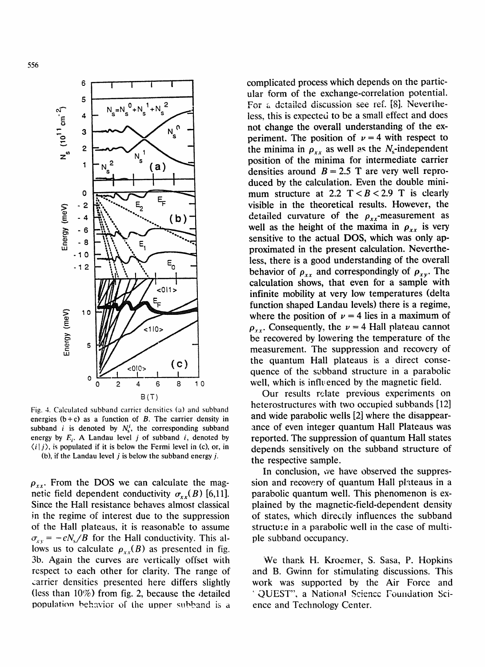

Fig. 4. Calculated subband carrier densities (a) and subband energies  $(b+c)$  as a function of B. The carrier density in subband *i* is denoted by  $N_s^i$ , the corresponding subband energy by  $F_i$ . A Landau level j of subband i, denoted by  $\langle i | j \rangle$ , is populated if it is below the Fermi level in (c), or, in (b), if the Landau level  $j$  is below the subband energy  $j$ .

 $\rho_{xx}$ . From the DOS we can calculate the magnetic field dependent conductivity  $\sigma_{xx}(B)$  [6,11]. Since the Hall resistance behaves almost classical in the regime of interest due to the suppression of the Hall plateaus, it is reasonable to assume  $\sigma_{xy} = -\epsilon N_s/B$  for the Hall conductivity. This allows us to calculate  $\rho_{xx}(B)$  as presented in fig. 3b. Again the curves are vertically offset with respect to each other for clarity. The range of carrier densities presented here differs slightly (less than  $10\%$ ) from fig. 2, because the detailed population behavior of the upner subband is a

complicated process which depends on the particular form of the exchange-correlation potential. For a detailed discussion see ref. [8]. Nevertheless, this is expected to be a small effect and does not change the overall understanding of the experiment. The position of  $\nu = 4$  with respect to the minima in  $\rho_{xx}$  as well as the N<sub>s</sub>-independent position of the minima for intermediate carrier densities around  $B = 2.5$  T are very well reproduced by the calculation. Even the double minimum structure at 2.2  $T < B < 2.9$  T is clearly visible in the theoretical results. However, the detailed curvature of the  $\rho_{xx}$ -measurement as well as the height of the maxima in  $\rho_{xx}$  is very sensitive to the actual DOS, which was only approximated in the present calculation. Nevertheless, there is a good understanding of the overall behavior of  $\rho_{xx}$  and correspondingly of  $\rho_{xy}$ . The calculation shows, that even for a sample with infinite mobility at very low temperatures (delta function shaped Landau levels) there is a regime, where the position of  $\nu = 4$  lies in a maximum of  $\rho_{xx}$ . Consequently, the  $\nu = 4$  Hall plateau cannot be recovered by lowering the temperature of the measurement. The suppression and recovery of the quantum Hall plateaus is a direct consequence of the subband structure in a parabolic well, which is inflvenced by the magnetic field.

Our results relate previous experiments on heterostructures with two occupied subbands [12] and wide parabolic wells [2] where the disappearance of even integer quantum Hall Plateaus was reported. The suppression of quantum Hall states depends sensitively on the subband structure of the respective sample.

In conclusion, we have observed the suppression and recovery of quantum Hall plateaus in a parabolic quantum well. This phenomenon is explained by the magnetic-field-dependent density of states, which directly influences the subband structu:e in a parabolic well in the case of multiple subband occupancy.

We thank H. Kroemer, S. Sasa, P. Hopkins and B. Gwinn for stimulating discussions. This work was supported by the Air Force and 'QUEST" , a National Science Foundation Science and Technology Center.